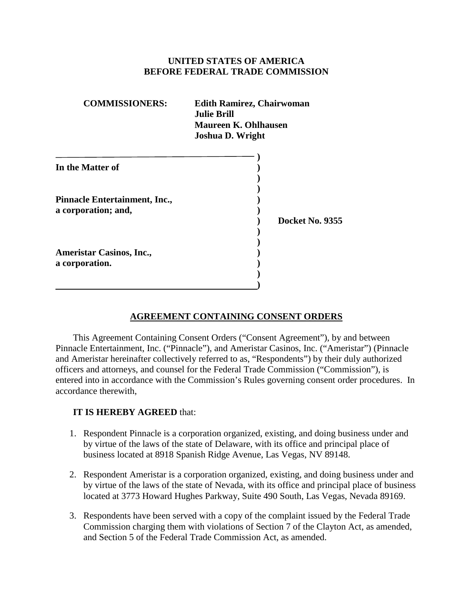# **UNITED STATES OF AMERICA BEFORE FEDERAL TRADE COMMISSION**

| <b>COMMISSIONERS:</b>                                | <b>Edith Ramirez, Chairwoman</b><br><b>Julie Brill</b><br>Maureen K. Ohlhausen<br><b>Joshua D. Wright</b> |
|------------------------------------------------------|-----------------------------------------------------------------------------------------------------------|
| In the Matter of                                     |                                                                                                           |
| Pinnacle Entertainment, Inc.,<br>a corporation; and, | Docket No. 9355                                                                                           |
| <b>Ameristar Casinos, Inc.,</b><br>a corporation.    |                                                                                                           |

# **AGREEMENT CONTAINING CONSENT ORDERS**

This Agreement Containing Consent Orders ("Consent Agreement"), by and between Pinnacle Entertainment, Inc. ("Pinnacle"), and Ameristar Casinos, Inc. ("Ameristar") (Pinnacle and Ameristar hereinafter collectively referred to as, "Respondents") by their duly authorized officers and attorneys, and counsel for the Federal Trade Commission ("Commission"), is entered into in accordance with the Commission's Rules governing consent order procedures. In accordance therewith,

## **IT IS HEREBY AGREED** that:

- 1. Respondent Pinnacle is a corporation organized, existing, and doing business under and by virtue of the laws of the state of Delaware, with its office and principal place of business located at 8918 Spanish Ridge Avenue, Las Vegas, NV 89148.
- 2. Respondent Ameristar is a corporation organized, existing, and doing business under and by virtue of the laws of the state of Nevada, with its office and principal place of business located at 3773 Howard Hughes Parkway, Suite 490 South, Las Vegas, Nevada 89169.
- 3. Respondents have been served with a copy of the complaint issued by the Federal Trade Commission charging them with violations of Section 7 of the Clayton Act, as amended, and Section 5 of the Federal Trade Commission Act, as amended.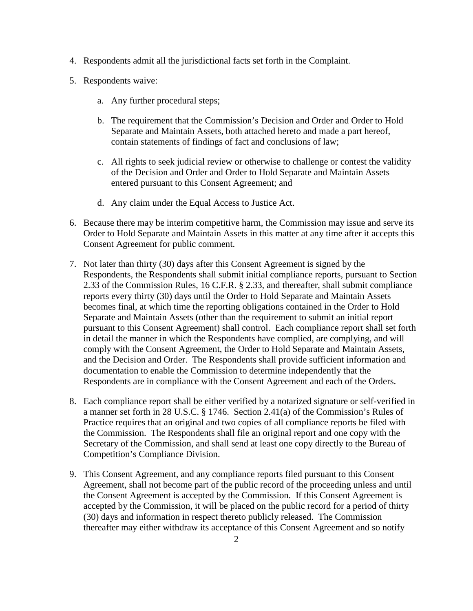- 4. Respondents admit all the jurisdictional facts set forth in the Complaint.
- 5. Respondents waive:
	- a. Any further procedural steps;
	- b. The requirement that the Commission's Decision and Order and Order to Hold Separate and Maintain Assets, both attached hereto and made a part hereof, contain statements of findings of fact and conclusions of law;
	- c. All rights to seek judicial review or otherwise to challenge or contest the validity of the Decision and Order and Order to Hold Separate and Maintain Assets entered pursuant to this Consent Agreement; and
	- d. Any claim under the Equal Access to Justice Act.
- 6. Because there may be interim competitive harm, the Commission may issue and serve its Order to Hold Separate and Maintain Assets in this matter at any time after it accepts this Consent Agreement for public comment.
- 7. Not later than thirty (30) days after this Consent Agreement is signed by the Respondents, the Respondents shall submit initial compliance reports, pursuant to Section 2.33 of the Commission Rules, 16 C.F.R. § 2.33, and thereafter, shall submit compliance reports every thirty (30) days until the Order to Hold Separate and Maintain Assets becomes final, at which time the reporting obligations contained in the Order to Hold Separate and Maintain Assets (other than the requirement to submit an initial report pursuant to this Consent Agreement) shall control. Each compliance report shall set forth in detail the manner in which the Respondents have complied, are complying, and will comply with the Consent Agreement, the Order to Hold Separate and Maintain Assets, and the Decision and Order. The Respondents shall provide sufficient information and documentation to enable the Commission to determine independently that the Respondents are in compliance with the Consent Agreement and each of the Orders.
- 8. Each compliance report shall be either verified by a notarized signature or self-verified in a manner set forth in 28 U.S.C. § 1746. Section 2.41(a) of the Commission's Rules of Practice requires that an original and two copies of all compliance reports be filed with the Commission. The Respondents shall file an original report and one copy with the Secretary of the Commission, and shall send at least one copy directly to the Bureau of Competition's Compliance Division.
- 9. This Consent Agreement, and any compliance reports filed pursuant to this Consent Agreement, shall not become part of the public record of the proceeding unless and until the Consent Agreement is accepted by the Commission. If this Consent Agreement is accepted by the Commission, it will be placed on the public record for a period of thirty (30) days and information in respect thereto publicly released. The Commission thereafter may either withdraw its acceptance of this Consent Agreement and so notify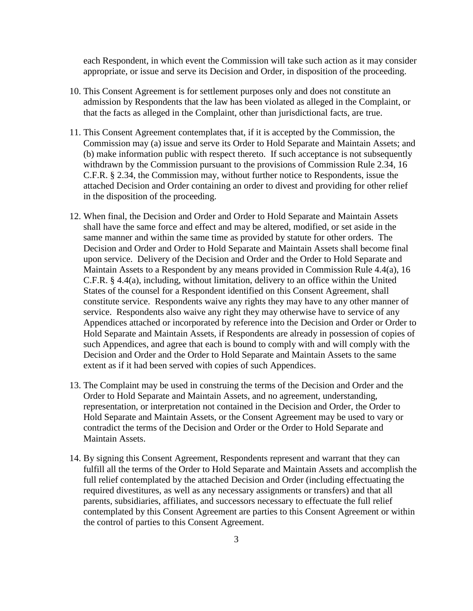each Respondent, in which event the Commission will take such action as it may consider appropriate, or issue and serve its Decision and Order, in disposition of the proceeding.

- 10. This Consent Agreement is for settlement purposes only and does not constitute an admission by Respondents that the law has been violated as alleged in the Complaint, or that the facts as alleged in the Complaint, other than jurisdictional facts, are true.
- 11. This Consent Agreement contemplates that, if it is accepted by the Commission, the Commission may (a) issue and serve its Order to Hold Separate and Maintain Assets; and (b) make information public with respect thereto. If such acceptance is not subsequently withdrawn by the Commission pursuant to the provisions of Commission Rule 2.34, 16 C.F.R. § 2.34, the Commission may, without further notice to Respondents, issue the attached Decision and Order containing an order to divest and providing for other relief in the disposition of the proceeding.
- 12. When final, the Decision and Order and Order to Hold Separate and Maintain Assets shall have the same force and effect and may be altered, modified, or set aside in the same manner and within the same time as provided by statute for other orders. The Decision and Order and Order to Hold Separate and Maintain Assets shall become final upon service. Delivery of the Decision and Order and the Order to Hold Separate and Maintain Assets to a Respondent by any means provided in Commission Rule 4.4(a), 16 C.F.R. § 4.4(a), including, without limitation, delivery to an office within the United States of the counsel for a Respondent identified on this Consent Agreement, shall constitute service. Respondents waive any rights they may have to any other manner of service. Respondents also waive any right they may otherwise have to service of any Appendices attached or incorporated by reference into the Decision and Order or Order to Hold Separate and Maintain Assets, if Respondents are already in possession of copies of such Appendices, and agree that each is bound to comply with and will comply with the Decision and Order and the Order to Hold Separate and Maintain Assets to the same extent as if it had been served with copies of such Appendices.
- 13. The Complaint may be used in construing the terms of the Decision and Order and the Order to Hold Separate and Maintain Assets, and no agreement, understanding, representation, or interpretation not contained in the Decision and Order, the Order to Hold Separate and Maintain Assets, or the Consent Agreement may be used to vary or contradict the terms of the Decision and Order or the Order to Hold Separate and Maintain Assets.
- 14. By signing this Consent Agreement, Respondents represent and warrant that they can fulfill all the terms of the Order to Hold Separate and Maintain Assets and accomplish the full relief contemplated by the attached Decision and Order (including effectuating the required divestitures, as well as any necessary assignments or transfers) and that all parents, subsidiaries, affiliates, and successors necessary to effectuate the full relief contemplated by this Consent Agreement are parties to this Consent Agreement or within the control of parties to this Consent Agreement.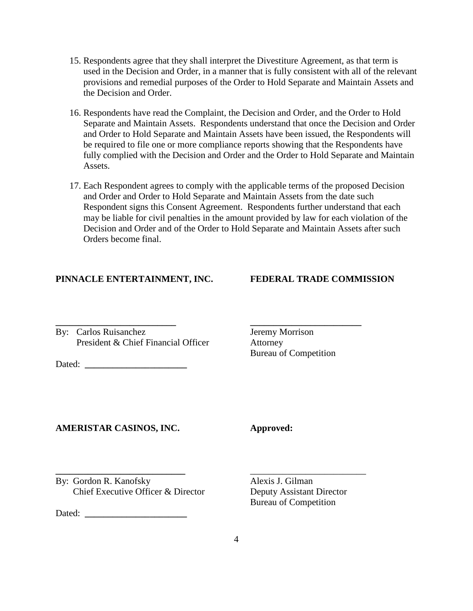- 15. Respondents agree that they shall interpret the Divestiture Agreement, as that term is used in the Decision and Order, in a manner that is fully consistent with all of the relevant provisions and remedial purposes of the Order to Hold Separate and Maintain Assets and the Decision and Order.
- 16. Respondents have read the Complaint, the Decision and Order, and the Order to Hold Separate and Maintain Assets. Respondents understand that once the Decision and Order and Order to Hold Separate and Maintain Assets have been issued, the Respondents will be required to file one or more compliance reports showing that the Respondents have fully complied with the Decision and Order and the Order to Hold Separate and Maintain Assets.
- 17. Each Respondent agrees to comply with the applicable terms of the proposed Decision and Order and Order to Hold Separate and Maintain Assets from the date such Respondent signs this Consent Agreement. Respondents further understand that each may be liable for civil penalties in the amount provided by law for each violation of the Decision and Order and of the Order to Hold Separate and Maintain Assets after such Orders become final.

**\_\_\_\_\_\_\_\_\_\_\_\_\_\_\_\_\_\_\_\_\_\_\_\_\_\_ \_\_\_\_\_\_\_\_\_\_\_\_\_\_\_\_\_\_\_\_\_\_\_\_**

### **PINNACLE ENTERTAINMENT, INC. FEDERAL TRADE COMMISSION**

By: Carlos Ruisanchez Jeremy Morrison President & Chief Financial Officer Attorney

Dated:

Bureau of Competition

### **AMERISTAR CASINOS, INC. Approved:**

**\_\_\_\_\_\_\_\_\_\_\_\_\_\_\_\_\_\_\_\_\_\_\_\_\_\_\_\_** \_\_\_\_\_\_\_\_\_\_\_\_\_\_\_\_\_\_\_\_\_\_\_\_\_ By: Gordon R. Kanofsky Alexis J. Gilman Chief Executive Officer & Director Deputy Assistant Director

Dated: **\_\_\_\_\_\_\_\_\_\_\_\_\_\_\_\_\_\_\_\_\_\_**

Bureau of Competition